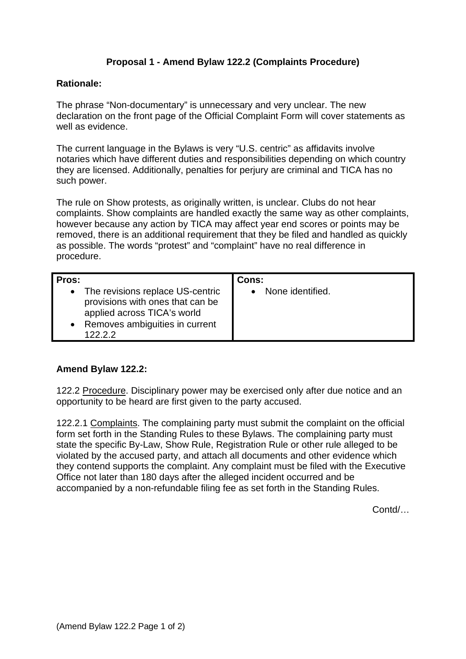# **Proposal 1 - Amend Bylaw 122.2 (Complaints Procedure)**

### **Rationale:**

The phrase "Non-documentary" is unnecessary and very unclear. The new declaration on the front page of the Official Complaint Form will cover statements as well as evidence.

The current language in the Bylaws is very "U.S. centric" as affidavits involve notaries which have different duties and responsibilities depending on which country they are licensed. Additionally, penalties for perjury are criminal and TICA has no such power.

The rule on Show protests, as originally written, is unclear. Clubs do not hear complaints. Show complaints are handled exactly the same way as other complaints, however because any action by TICA may affect year end scores or points may be removed, there is an additional requirement that they be filed and handled as quickly as possible. The words "protest" and "complaint" have no real difference in procedure.

| Pros:                                                                                                                                              | Cons:            |
|----------------------------------------------------------------------------------------------------------------------------------------------------|------------------|
| • The revisions replace US-centric<br>provisions with ones that can be<br>applied across TICA's world<br>• Removes ambiguities in current<br>12222 | None identified. |

### **Amend Bylaw 122.2:**

122.2 Procedure. Disciplinary power may be exercised only after due notice and an opportunity to be heard are first given to the party accused.

122.2.1 Complaints. The complaining party must submit the complaint on the official form set forth in the Standing Rules to these Bylaws. The complaining party must state the specific By-Law, Show Rule, Registration Rule or other rule alleged to be violated by the accused party, and attach all documents and other evidence which they contend supports the complaint. Any complaint must be filed with the Executive Office not later than 180 days after the alleged incident occurred and be accompanied by a non-refundable filing fee as set forth in the Standing Rules.

Contd/…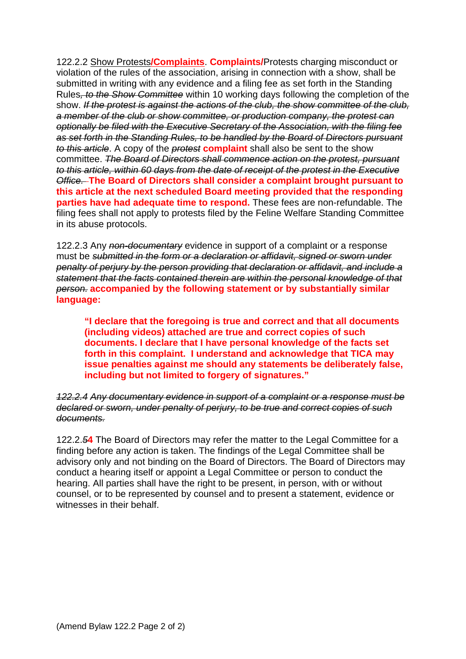122.2.2 Show Protests**/Complaints**. **Complaints/**Protests charging misconduct or violation of the rules of the association, arising in connection with a show, shall be submitted in writing with any evidence and a filing fee as set forth in the Standing Rules*, to the Show Committee* within 10 working days following the completion of the show. *If the protest is against the actions of the club, the show committee of the club, a member of the club or show committee, or production company, the protest can optionally be filed with the Executive Secretary of the Association, with the filing fee as set forth in the Standing Rules, to be handled by the Board of Directors pursuant to this article*. A copy of the *protest* **complaint** shall also be sent to the show committee. *The Board of Directors shall commence action on the protest, pursuant to this article, within 60 days from the date of receipt of the protest in the Executive Office.* **The Board of Directors shall consider a complaint brought pursuant to this article at the next scheduled Board meeting provided that the responding parties have had adequate time to respond.** These fees are non-refundable. The filing fees shall not apply to protests filed by the Feline Welfare Standing Committee in its abuse protocols.

122.2.3 Any *non-documentary* evidence in support of a complaint or a response must be *submitted in the form or a declaration or affidavit, signed or sworn under penalty of perjury by the person providing that declaration or affidavit, and include a statement that the facts contained therein are within the personal knowledge of that person.* **accompanied by the following statement or by substantially similar language:**

**"I declare that the foregoing is true and correct and that all documents (including videos) attached are true and correct copies of such documents. I declare that I have personal knowledge of the facts set forth in this complaint. I understand and acknowledge that TICA may issue penalties against me should any statements be deliberately false, including but not limited to forgery of signatures."**

*122.2.4 Any documentary evidence in support of a complaint or a response must be declared or sworn, under penalty of perjury, to be true and correct copies of such documents.*

122.2.*5***4** The Board of Directors may refer the matter to the Legal Committee for a finding before any action is taken. The findings of the Legal Committee shall be advisory only and not binding on the Board of Directors. The Board of Directors may conduct a hearing itself or appoint a Legal Committee or person to conduct the hearing. All parties shall have the right to be present, in person, with or without counsel, or to be represented by counsel and to present a statement, evidence or witnesses in their behalf.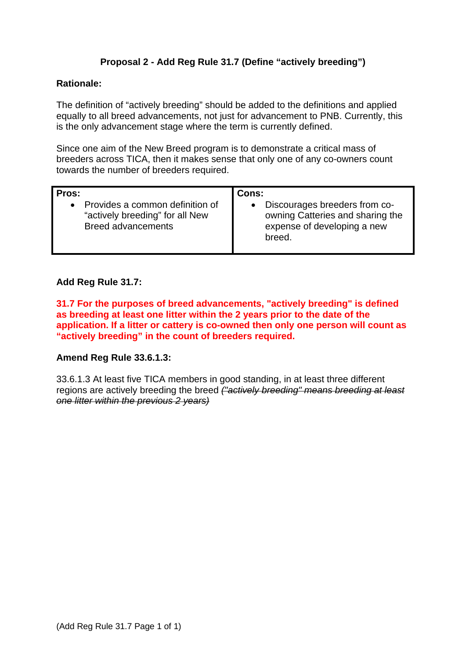# **Proposal 2 - Add Reg Rule 31.7 (Define "actively breeding")**

### **Rationale:**

The definition of "actively breeding" should be added to the definitions and applied equally to all breed advancements, not just for advancement to PNB. Currently, this is the only advancement stage where the term is currently defined.

Since one aim of the New Breed program is to demonstrate a critical mass of breeders across TICA, then it makes sense that only one of any co-owners count towards the number of breeders required.

| Pros:                           | Cons:                            |
|---------------------------------|----------------------------------|
| Provides a common definition of | Discourages breeders from co-    |
| $\bullet$                       | owning Catteries and sharing the |
| "actively breeding" for all New | expense of developing a new      |
| <b>Breed advancements</b>       | breed.                           |

### **Add Reg Rule 31.7:**

**31.7 For the purposes of breed advancements, "actively breeding" is defined as breeding at least one litter within the 2 years prior to the date of the application. If a litter or cattery is co-owned then only one person will count as "actively breeding" in the count of breeders required.**

### **Amend Reg Rule 33.6.1.3:**

33.6.1.3 At least five TICA members in good standing, in at least three different regions are actively breeding the breed *("actively breeding" means breeding at least one litter within the previous 2 years)*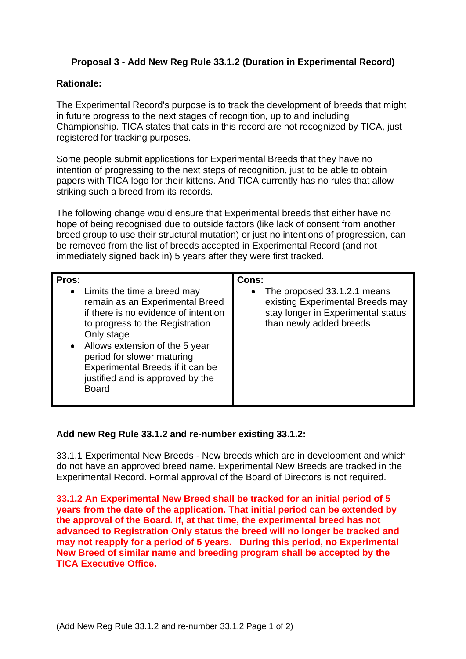## **Proposal 3 - Add New Reg Rule 33.1.2 (Duration in Experimental Record)**

### **Rationale:**

The Experimental Record's purpose is to track the development of breeds that might in future progress to the next stages of recognition, up to and including Championship. TICA states that cats in this record are not recognized by TICA, just registered for tracking purposes.

Some people submit applications for Experimental Breeds that they have no intention of progressing to the next steps of recognition, just to be able to obtain papers with TICA logo for their kittens. And TICA currently has no rules that allow striking such a breed from its records.

The following change would ensure that Experimental breeds that either have no hope of being recognised due to outside factors (like lack of consent from another breed group to use their structural mutation) or just no intentions of progression, can be removed from the list of breeds accepted in Experimental Record (and not immediately signed back in) 5 years after they were first tracked.

| Pros:<br>• Limits the time a breed may<br>remain as an Experimental Breed<br>if there is no evidence of intention<br>to progress to the Registration<br>Only stage<br>Allows extension of the 5 year<br>$\bullet$<br>period for slower maturing<br>Experimental Breeds if it can be<br>justified and is approved by the<br><b>Board</b> | Cons:<br>The proposed 33.1.2.1 means<br>$\bullet$<br>existing Experimental Breeds may<br>stay longer in Experimental status<br>than newly added breeds |
|-----------------------------------------------------------------------------------------------------------------------------------------------------------------------------------------------------------------------------------------------------------------------------------------------------------------------------------------|--------------------------------------------------------------------------------------------------------------------------------------------------------|
|                                                                                                                                                                                                                                                                                                                                         |                                                                                                                                                        |

### **Add new Reg Rule 33.1.2 and re-number existing 33.1.2:**

33.1.1 Experimental New Breeds - New breeds which are in development and which do not have an approved breed name. Experimental New Breeds are tracked in the Experimental Record. Formal approval of the Board of Directors is not required.

**33.1.2 An Experimental New Breed shall be tracked for an initial period of 5 years from the date of the application. That initial period can be extended by the approval of the Board. If, at that time, the experimental breed has not advanced to Registration Only status the breed will no longer be tracked and may not reapply for a period of 5 years. During this period, no Experimental New Breed of similar name and breeding program shall be accepted by the TICA Executive Office.**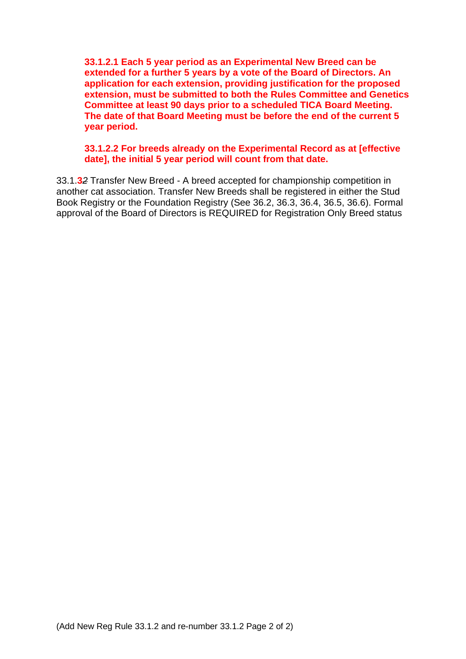**33.1.2.1 Each 5 year period as an Experimental New Breed can be extended for a further 5 years by a vote of the Board of Directors. An application for each extension, providing justification for the proposed extension, must be submitted to both the Rules Committee and Genetics Committee at least 90 days prior to a scheduled TICA Board Meeting. The date of that Board Meeting must be before the end of the current 5 year period.**

## **33.1.2.2 For breeds already on the Experimental Record as at [effective date], the initial 5 year period will count from that date.**

33.1.**3***2* Transfer New Breed - A breed accepted for championship competition in another cat association. Transfer New Breeds shall be registered in either the Stud Book Registry or the Foundation Registry (See 36.2, 36.3, 36.4, 36.5, 36.6). Formal approval of the Board of Directors is REQUIRED for Registration Only Breed status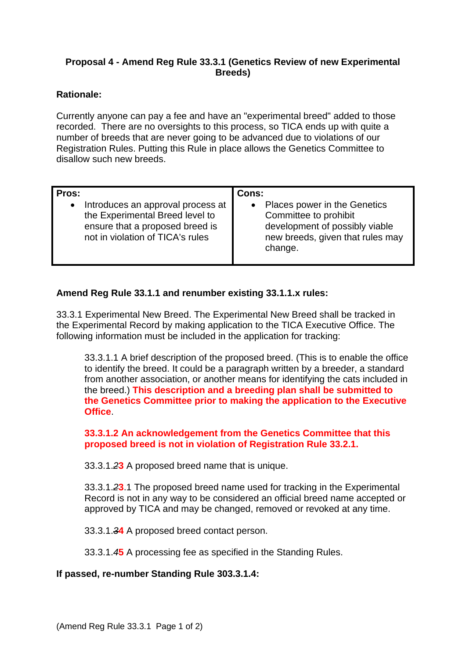## **Proposal 4 - Amend Reg Rule 33.3.1 (Genetics Review of new Experimental Breeds)**

## **Rationale:**

Currently anyone can pay a fee and have an "experimental breed" added to those recorded. There are no oversights to this process, so TICA ends up with quite a number of breeds that are never going to be advanced due to violations of our Registration Rules. Putting this Rule in place allows the Genetics Committee to disallow such new breeds.

| Pros:                             | Cons:                            |
|-----------------------------------|----------------------------------|
| Introduces an approval process at | Places power in the Genetics     |
| $\bullet$                         | Committee to prohibit            |
| the Experimental Breed level to   | development of possibly viable   |
| ensure that a proposed breed is   | new breeds, given that rules may |
| not in violation of TICA's rules  | change.                          |

## **Amend Reg Rule 33.1.1 and renumber existing 33.1.1.x rules:**

33.3.1 Experimental New Breed. The Experimental New Breed shall be tracked in the Experimental Record by making application to the TICA Executive Office. The following information must be included in the application for tracking:

33.3.1.1 A brief description of the proposed breed. (This is to enable the office to identify the breed. It could be a paragraph written by a breeder, a standard from another association, or another means for identifying the cats included in the breed.) **This description and a breeding plan shall be submitted to the Genetics Committee prior to making the application to the Executive Office**.

## **33.3.1.2 An acknowledgement from the Genetics Committee that this proposed breed is not in violation of Registration Rule 33.2.1.**

33.3.1.*2***3** A proposed breed name that is unique.

33.3.1.*2***3**.1 The proposed breed name used for tracking in the Experimental Record is not in any way to be considered an official breed name accepted or approved by TICA and may be changed, removed or revoked at any time.

33.3.1.*3***4** A proposed breed contact person.

33.3.1.*4***5** A processing fee as specified in the Standing Rules.

### **If passed, re-number Standing Rule 303.3.1.4:**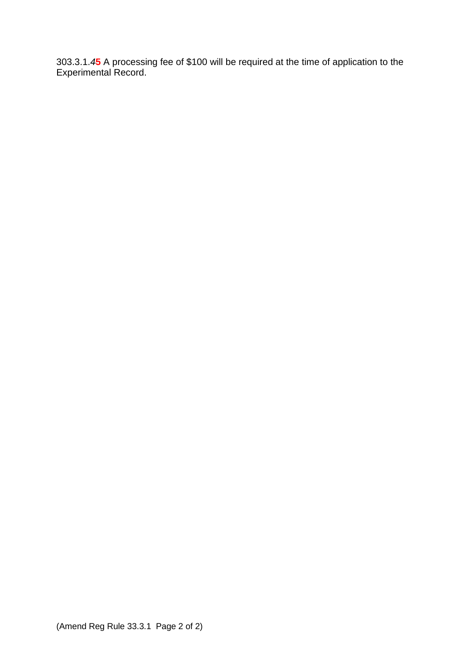303.3.1.*4***5** A processing fee of \$100 will be required at the time of application to the Experimental Record.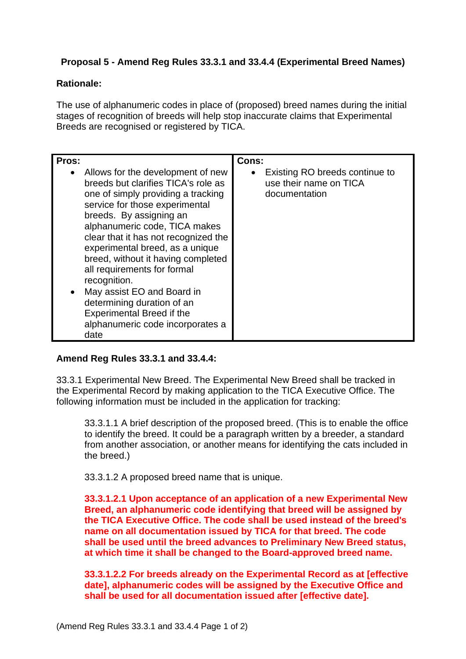# **Proposal 5 - Amend Reg Rules 33.3.1 and 33.4.4 (Experimental Breed Names)**

## **Rationale:**

The use of alphanumeric codes in place of (proposed) breed names during the initial stages of recognition of breeds will help stop inaccurate claims that Experimental Breeds are recognised or registered by TICA.

| Pros:<br>$\bullet$ | Allows for the development of new<br>breeds but clarifies TICA's role as<br>one of simply providing a tracking<br>service for those experimental<br>breeds. By assigning an<br>alphanumeric code, TICA makes<br>clear that it has not recognized the<br>experimental breed, as a unique<br>breed, without it having completed<br>all requirements for formal<br>recognition.<br>May assist EO and Board in<br>determining duration of an<br><b>Experimental Breed if the</b><br>alphanumeric code incorporates a<br>date | Cons:<br>• Existing RO breeds continue to<br>use their name on TICA<br>documentation |
|--------------------|--------------------------------------------------------------------------------------------------------------------------------------------------------------------------------------------------------------------------------------------------------------------------------------------------------------------------------------------------------------------------------------------------------------------------------------------------------------------------------------------------------------------------|--------------------------------------------------------------------------------------|
|--------------------|--------------------------------------------------------------------------------------------------------------------------------------------------------------------------------------------------------------------------------------------------------------------------------------------------------------------------------------------------------------------------------------------------------------------------------------------------------------------------------------------------------------------------|--------------------------------------------------------------------------------------|

### **Amend Reg Rules 33.3.1 and 33.4.4:**

33.3.1 Experimental New Breed. The Experimental New Breed shall be tracked in the Experimental Record by making application to the TICA Executive Office. The following information must be included in the application for tracking:

33.3.1.1 A brief description of the proposed breed. (This is to enable the office to identify the breed. It could be a paragraph written by a breeder, a standard from another association, or another means for identifying the cats included in the breed.)

33.3.1.2 A proposed breed name that is unique.

**33.3.1.2.1 Upon acceptance of an application of a new Experimental New Breed, an alphanumeric code identifying that breed will be assigned by the TICA Executive Office. The code shall be used instead of the breed's name on all documentation issued by TICA for that breed. The code shall be used until the breed advances to Preliminary New Breed status, at which time it shall be changed to the Board-approved breed name.**

**33.3.1.2.2 For breeds already on the Experimental Record as at [effective date], alphanumeric codes will be assigned by the Executive Office and shall be used for all documentation issued after [effective date].**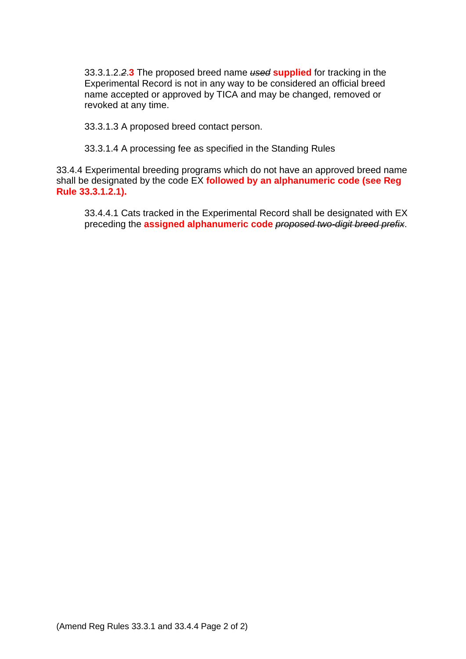33.3.1.2.*2*.**3** The proposed breed name *used* **supplied** for tracking in the Experimental Record is not in any way to be considered an official breed name accepted or approved by TICA and may be changed, removed or revoked at any time.

33.3.1.3 A proposed breed contact person.

33.3.1.4 A processing fee as specified in the Standing Rules

33.4.4 Experimental breeding programs which do not have an approved breed name shall be designated by the code EX **followed by an alphanumeric code (see Reg Rule 33.3.1.2.1).**

33.4.4.1 Cats tracked in the Experimental Record shall be designated with EX preceding the **assigned alphanumeric code** *proposed two-digit breed prefix*.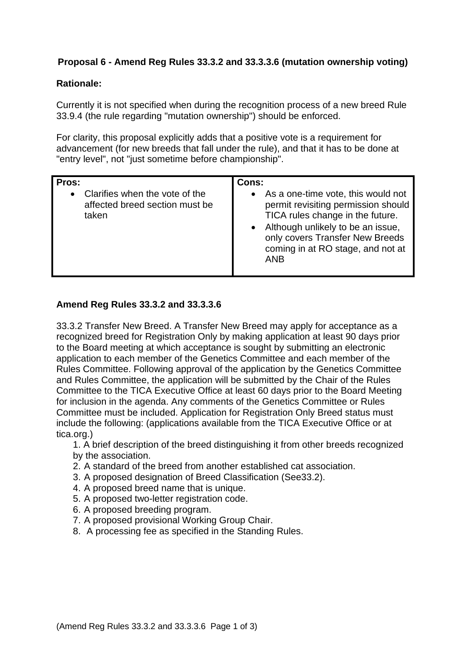# **Proposal 6 - Amend Reg Rules 33.3.2 and 33.3.3.6 (mutation ownership voting)**

## **Rationale:**

Currently it is not specified when during the recognition process of a new breed Rule 33.9.4 (the rule regarding "mutation ownership") should be enforced.

For clarity, this proposal explicitly adds that a positive vote is a requirement for advancement (for new breeds that fall under the rule), and that it has to be done at "entry level", not "just sometime before championship".

## **Amend Reg Rules 33.3.2 and 33.3.3.6**

33.3.2 Transfer New Breed. A Transfer New Breed may apply for acceptance as a recognized breed for Registration Only by making application at least 90 days prior to the Board meeting at which acceptance is sought by submitting an electronic application to each member of the Genetics Committee and each member of the Rules Committee. Following approval of the application by the Genetics Committee and Rules Committee, the application will be submitted by the Chair of the Rules Committee to the TICA Executive Office at least 60 days prior to the Board Meeting for inclusion in the agenda. Any comments of the Genetics Committee or Rules Committee must be included. Application for Registration Only Breed status must include the following: (applications available from the TICA Executive Office or at tica.org.)

1. A brief description of the breed distinguishing it from other breeds recognized by the association.

- 2. A standard of the breed from another established cat association.
- 3. A proposed designation of Breed Classification (See33.2).
- 4. A proposed breed name that is unique.
- 5. A proposed two-letter registration code.
- 6. A proposed breeding program.
- 7. A proposed provisional Working Group Chair.
- 8. A processing fee as specified in the Standing Rules.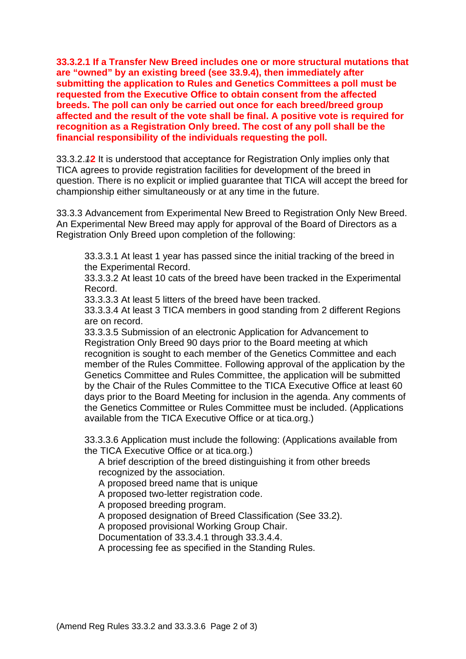**33.3.2.1 If a Transfer New Breed includes one or more structural mutations that are "owned" by an existing breed (see 33.9.4), then immediately after submitting the application to Rules and Genetics Committees a poll must be requested from the Executive Office to obtain consent from the affected breeds. The poll can only be carried out once for each breed/breed group affected and the result of the vote shall be final. A positive vote is required for recognition as a Registration Only breed. The cost of any poll shall be the financial responsibility of the individuals requesting the poll.**

33.3.2.*1***2** It is understood that acceptance for Registration Only implies only that TICA agrees to provide registration facilities for development of the breed in question. There is no explicit or implied guarantee that TICA will accept the breed for championship either simultaneously or at any time in the future.

33.3.3 Advancement from Experimental New Breed to Registration Only New Breed. An Experimental New Breed may apply for approval of the Board of Directors as a Registration Only Breed upon completion of the following:

33.3.3.1 At least 1 year has passed since the initial tracking of the breed in the Experimental Record.

33.3.3.2 At least 10 cats of the breed have been tracked in the Experimental Record.

33.3.3.3 At least 5 litters of the breed have been tracked.

33.3.3.4 At least 3 TICA members in good standing from 2 different Regions are on record.

33.3.3.5 Submission of an electronic Application for Advancement to Registration Only Breed 90 days prior to the Board meeting at which recognition is sought to each member of the Genetics Committee and each member of the Rules Committee. Following approval of the application by the Genetics Committee and Rules Committee, the application will be submitted by the Chair of the Rules Committee to the TICA Executive Office at least 60 days prior to the Board Meeting for inclusion in the agenda. Any comments of the Genetics Committee or Rules Committee must be included. (Applications available from the TICA Executive Office or at tica.org.)

33.3.3.6 Application must include the following: (Applications available from the TICA Executive Office or at tica.org.)

A brief description of the breed distinguishing it from other breeds recognized by the association.

A proposed breed name that is unique

A proposed two-letter registration code.

A proposed breeding program.

A proposed designation of Breed Classification (See 33.2).

A proposed provisional Working Group Chair.

Documentation of 33.3.4.1 through 33.3.4.4.

A processing fee as specified in the Standing Rules.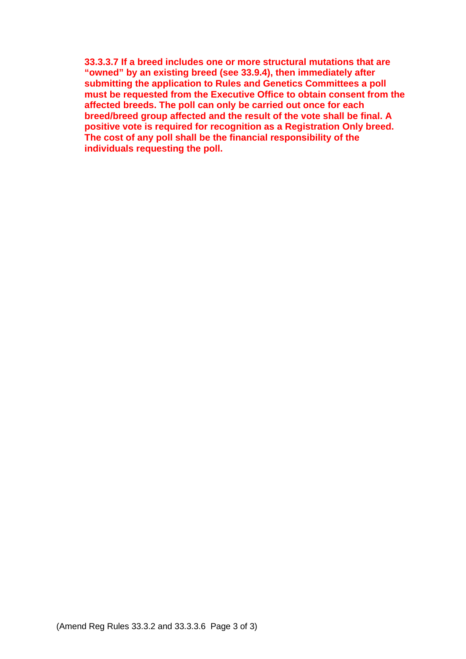**33.3.3.7 If a breed includes one or more structural mutations that are "owned" by an existing breed (see 33.9.4), then immediately after submitting the application to Rules and Genetics Committees a poll must be requested from the Executive Office to obtain consent from the affected breeds. The poll can only be carried out once for each breed/breed group affected and the result of the vote shall be final. A positive vote is required for recognition as a Registration Only breed. The cost of any poll shall be the financial responsibility of the individuals requesting the poll.**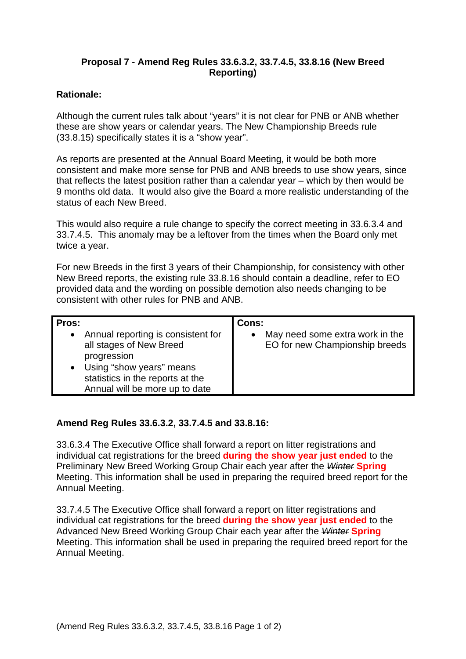## **Proposal 7 - Amend Reg Rules 33.6.3.2, 33.7.4.5, 33.8.16 (New Breed Reporting)**

## **Rationale:**

Although the current rules talk about "years" it is not clear for PNB or ANB whether these are show years or calendar years. The New Championship Breeds rule (33.8.15) specifically states it is a "show year".

As reports are presented at the Annual Board Meeting, it would be both more consistent and make more sense for PNB and ANB breeds to use show years, since that reflects the latest position rather than a calendar year – which by then would be 9 months old data. It would also give the Board a more realistic understanding of the status of each New Breed.

This would also require a rule change to specify the correct meeting in 33.6.3.4 and 33.7.4.5. This anomaly may be a leftover from the times when the Board only met twice a year.

For new Breeds in the first 3 years of their Championship, for consistency with other New Breed reports, the existing rule 33.8.16 should contain a deadline, refer to EO provided data and the wording on possible demotion also needs changing to be consistent with other rules for PNB and ANB.

| Pros:                                                                                                                                                                              | Cons:                                                             |
|------------------------------------------------------------------------------------------------------------------------------------------------------------------------------------|-------------------------------------------------------------------|
| • Annual reporting is consistent for<br>all stages of New Breed<br>progression<br>• Using "show years" means<br>statistics in the reports at the<br>Annual will be more up to date | May need some extra work in the<br>EO for new Championship breeds |

### **Amend Reg Rules 33.6.3.2, 33.7.4.5 and 33.8.16:**

33.6.3.4 The Executive Office shall forward a report on litter registrations and individual cat registrations for the breed **during the show year just ended** to the Preliminary New Breed Working Group Chair each year after the *Winter* **Spring**  Meeting. This information shall be used in preparing the required breed report for the Annual Meeting.

33.7.4.5 The Executive Office shall forward a report on litter registrations and individual cat registrations for the breed **during the show year just ended** to the Advanced New Breed Working Group Chair each year after the *Winter* **Spring** Meeting. This information shall be used in preparing the required breed report for the Annual Meeting.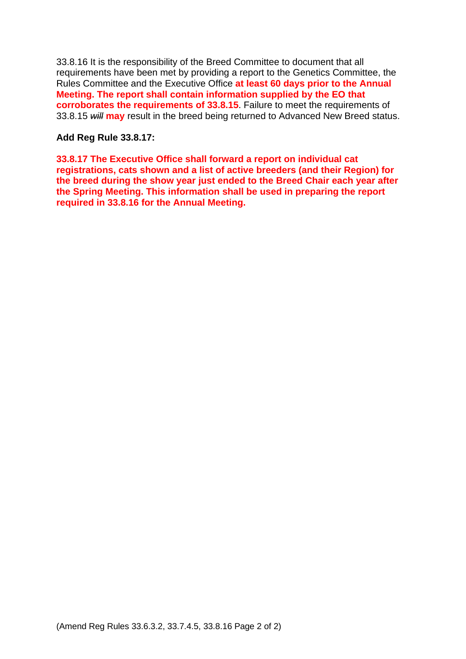33.8.16 It is the responsibility of the Breed Committee to document that all requirements have been met by providing a report to the Genetics Committee, the Rules Committee and the Executive Office **at least 60 days prior to the Annual Meeting. The report shall contain information supplied by the EO that corroborates the requirements of 33.8.15**. Failure to meet the requirements of 33.8.15 *will* **may** result in the breed being returned to Advanced New Breed status.

## **Add Reg Rule 33.8.17:**

**33.8.17 The Executive Office shall forward a report on individual cat registrations, cats shown and a list of active breeders (and their Region) for the breed during the show year just ended to the Breed Chair each year after the Spring Meeting. This information shall be used in preparing the report required in 33.8.16 for the Annual Meeting.**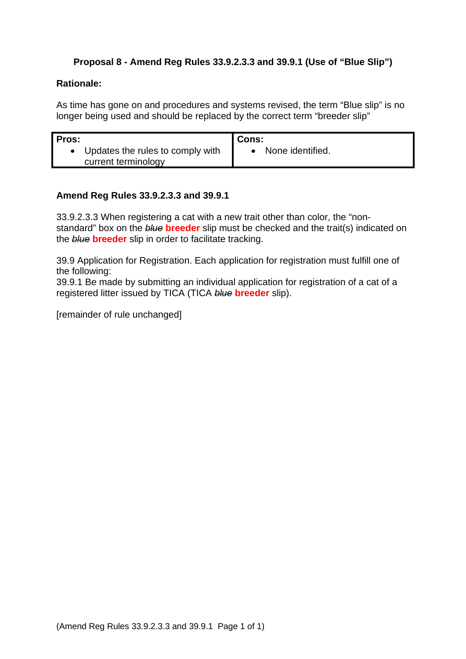# **Proposal 8 - Amend Reg Rules 33.9.2.3.3 and 39.9.1 (Use of "Blue Slip")**

### **Rationale:**

As time has gone on and procedures and systems revised, the term "Blue slip" is no longer being used and should be replaced by the correct term "breeder slip"

| Pros:                            | Cons:            |
|----------------------------------|------------------|
| Updates the rules to comply with | None identified. |
| current terminology              |                  |

### **Amend Reg Rules 33.9.2.3.3 and 39.9.1**

33.9.2.3.3 When registering a cat with a new trait other than color, the "nonstandard" box on the *blue* **breeder** slip must be checked and the trait(s) indicated on the *blue* **breeder** slip in order to facilitate tracking.

39.9 Application for Registration. Each application for registration must fulfill one of the following:

39.9.1 Be made by submitting an individual application for registration of a cat of a registered litter issued by TICA (TICA *blue* **breeder** slip).

[remainder of rule unchanged]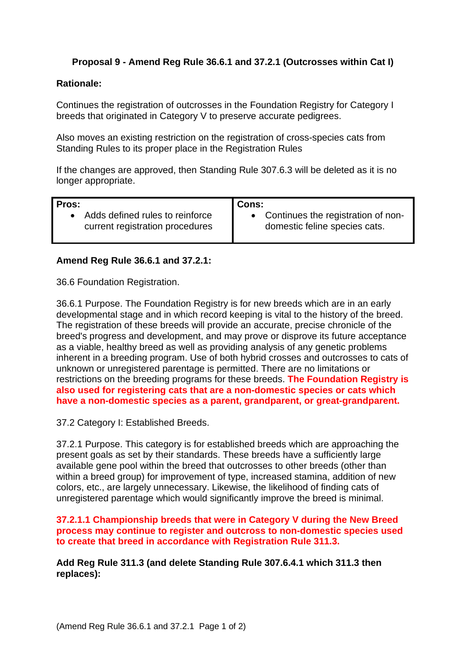## **Proposal 9 - Amend Reg Rule 36.6.1 and 37.2.1 (Outcrosses within Cat I)**

#### **Rationale:**

Continues the registration of outcrosses in the Foundation Registry for Category I breeds that originated in Category V to preserve accurate pedigrees.

Also moves an existing restriction on the registration of cross-species cats from Standing Rules to its proper place in the Registration Rules

If the changes are approved, then Standing Rule 307.6.3 will be deleted as it is no longer appropriate.

| Pros:                             | <b>Cons:</b>                         |
|-----------------------------------|--------------------------------------|
| • Adds defined rules to reinforce | • Continues the registration of non- |
| current registration procedures   | domestic feline species cats.        |

#### **Amend Reg Rule 36.6.1 and 37.2.1:**

36.6 Foundation Registration.

36.6.1 Purpose. The Foundation Registry is for new breeds which are in an early developmental stage and in which record keeping is vital to the history of the breed. The registration of these breeds will provide an accurate, precise chronicle of the breed's progress and development, and may prove or disprove its future acceptance as a viable, healthy breed as well as providing analysis of any genetic problems inherent in a breeding program. Use of both hybrid crosses and outcrosses to cats of unknown or unregistered parentage is permitted. There are no limitations or restrictions on the breeding programs for these breeds. **The Foundation Registry is also used for registering cats that are a non-domestic species or cats which have a non-domestic species as a parent, grandparent, or great-grandparent.**

37.2 Category I: Established Breeds.

37.2.1 Purpose. This category is for established breeds which are approaching the present goals as set by their standards. These breeds have a sufficiently large available gene pool within the breed that outcrosses to other breeds (other than within a breed group) for improvement of type, increased stamina, addition of new colors, etc., are largely unnecessary. Likewise, the likelihood of finding cats of unregistered parentage which would significantly improve the breed is minimal.

**37.2.1.1 Championship breeds that were in Category V during the New Breed process may continue to register and outcross to non-domestic species used to create that breed in accordance with Registration Rule 311.3.**

**Add Reg Rule 311.3 (and delete Standing Rule 307.6.4.1 which 311.3 then replaces):**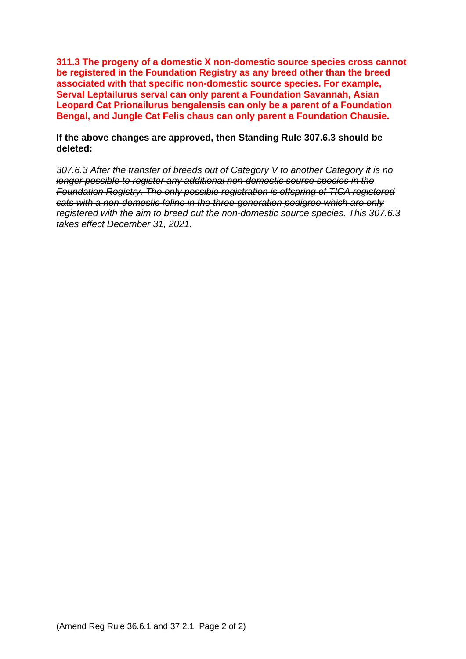**311.3 The progeny of a domestic X non-domestic source species cross cannot be registered in the Foundation Registry as any breed other than the breed associated with that specific non-domestic source species. For example, Serval Leptailurus serval can only parent a Foundation Savannah, Asian Leopard Cat Prionailurus bengalensis can only be a parent of a Foundation Bengal, and Jungle Cat Felis chaus can only parent a Foundation Chausie.**

**If the above changes are approved, then Standing Rule 307.6.3 should be deleted:**

*307.6.3 After the transfer of breeds out of Category V to another Category it is no longer possible to register any additional non-domestic source species in the Foundation Registry. The only possible registration is offspring of TICA registered cats with a non-domestic feline in the three-generation pedigree which are only registered with the aim to breed out the non-domestic source species. This 307.6.3 takes effect December 31, 2021.*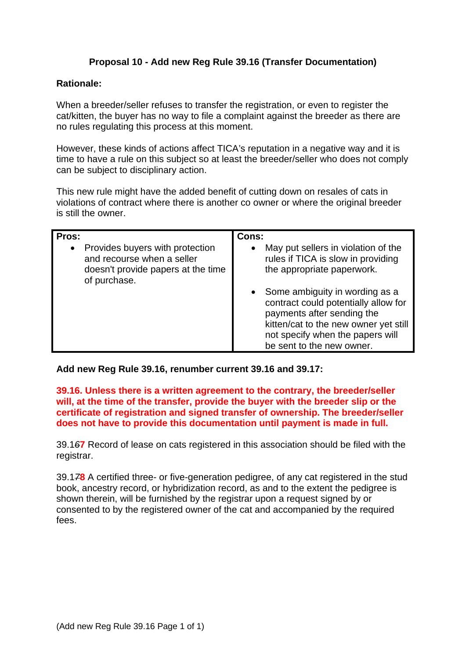# **Proposal 10 - Add new Reg Rule 39.16 (Transfer Documentation)**

### **Rationale:**

When a breeder/seller refuses to transfer the registration, or even to register the cat/kitten, the buyer has no way to file a complaint against the breeder as there are no rules regulating this process at this moment.

However, these kinds of actions affect TICA's reputation in a negative way and it is time to have a rule on this subject so at least the breeder/seller who does not comply can be subject to disciplinary action.

This new rule might have the added benefit of cutting down on resales of cats in violations of contract where there is another co owner or where the original breeder is still the owner.

| Pros:<br>Provides buyers with protection<br>$\bullet$<br>and recourse when a seller<br>doesn't provide papers at the time<br>of purchase. | Cons:<br>May put sellers in violation of the<br>$\bullet$<br>rules if TICA is slow in providing<br>the appropriate paperwork.                                                                                    |
|-------------------------------------------------------------------------------------------------------------------------------------------|------------------------------------------------------------------------------------------------------------------------------------------------------------------------------------------------------------------|
|                                                                                                                                           | • Some ambiguity in wording as a<br>contract could potentially allow for<br>payments after sending the<br>kitten/cat to the new owner yet still<br>not specify when the papers will<br>be sent to the new owner. |

**Add new Reg Rule 39.16, renumber current 39.16 and 39.17:**

#### **39.16. Unless there is a written agreement to the contrary, the breeder/seller will, at the time of the transfer, provide the buyer with the breeder slip or the certificate of registration and signed transfer of ownership. The breeder/seller does not have to provide this documentation until payment is made in full.**

39.1*6***7** Record of lease on cats registered in this association should be filed with the registrar.

39.1*7***8** A certified three- or five-generation pedigree, of any cat registered in the stud book, ancestry record, or hybridization record, as and to the extent the pedigree is shown therein, will be furnished by the registrar upon a request signed by or consented to by the registered owner of the cat and accompanied by the required fees.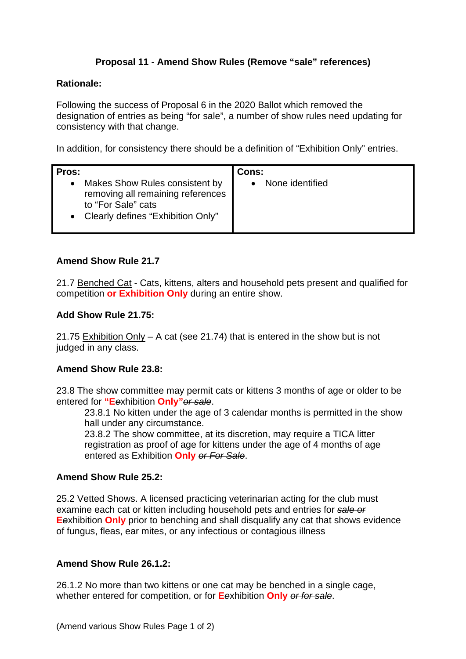# **Proposal 11 - Amend Show Rules (Remove "sale" references)**

### **Rationale:**

Following the success of Proposal 6 in the 2020 Ballot which removed the designation of entries as being "for sale", a number of show rules need updating for consistency with that change.

In addition, for consistency there should be a definition of "Exhibition Only" entries.

| Pros:                                                                                                                                         | Cons:           |
|-----------------------------------------------------------------------------------------------------------------------------------------------|-----------------|
| Makes Show Rules consistent by<br>$\bullet$<br>removing all remaining references<br>to "For Sale" cats<br>• Clearly defines "Exhibition Only" | None identified |

### **Amend Show Rule 21.7**

21.7 Benched Cat - Cats, kittens, alters and household pets present and qualified for competition **or Exhibition Only** during an entire show.

#### **Add Show Rule 21.75:**

21.75 Exhibition Only – A cat (see 21.74) that is entered in the show but is not judged in any class.

### **Amend Show Rule 23.8:**

23.8 The show committee may permit cats or kittens 3 months of age or older to be entered for **"E***e*xhibition **Only"***or sale*.

23.8.1 No kitten under the age of 3 calendar months is permitted in the show hall under any circumstance.

23.8.2 The show committee, at its discretion, may require a TICA litter registration as proof of age for kittens under the age of 4 months of age entered as Exhibition **Only** *or For Sale*.

#### **Amend Show Rule 25.2:**

25.2 Vetted Shows. A licensed practicing veterinarian acting for the club must examine each cat or kitten including household pets and entries for *sale or* **E***e*xhibition **Only** prior to benching and shall disqualify any cat that shows evidence of fungus, fleas, ear mites, or any infectious or contagious illness

## **Amend Show Rule 26.1.2:**

26.1.2 No more than two kittens or one cat may be benched in a single cage, whether entered for competition, or for **E***e*xhibition **Only** *or for sale*.